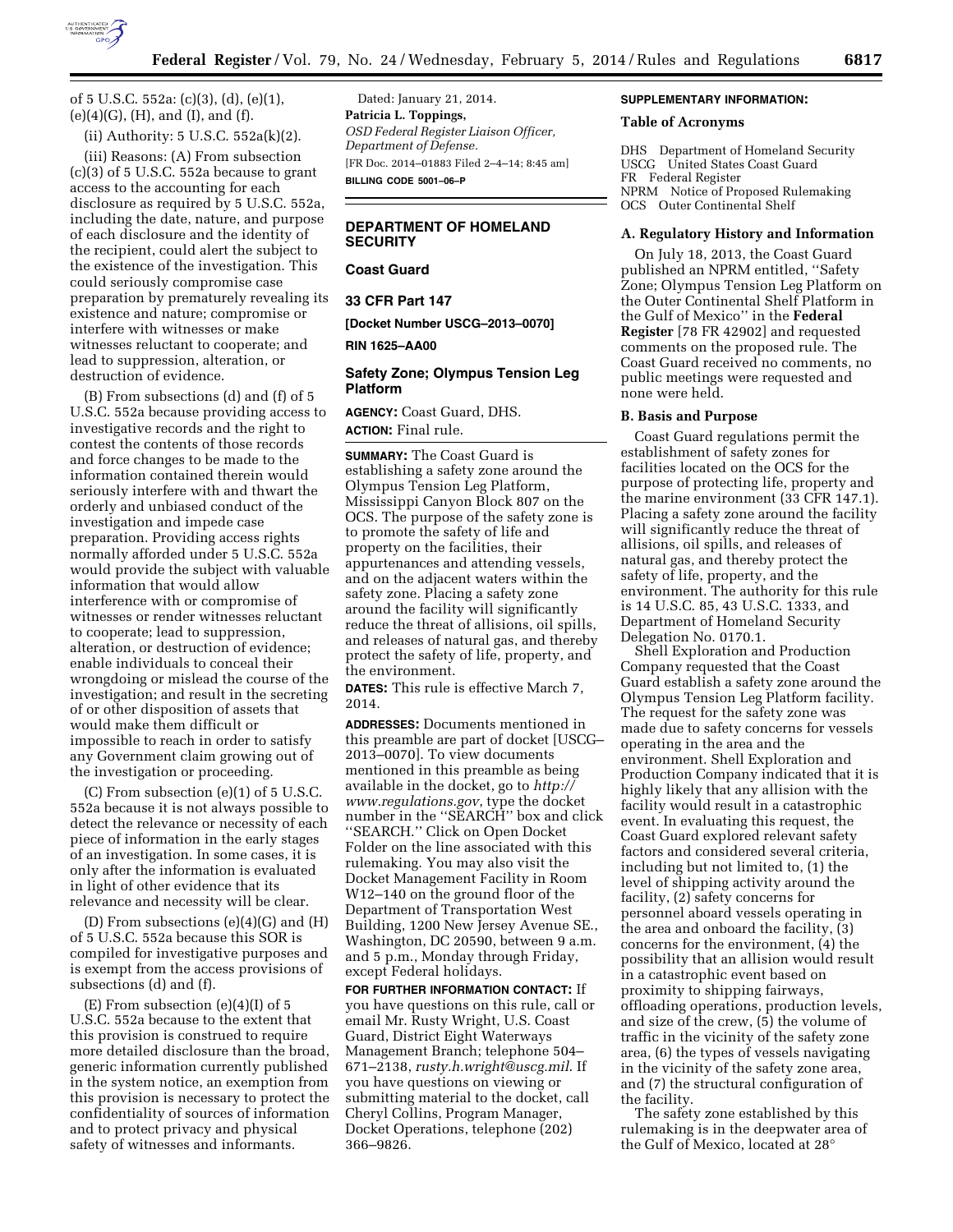

of 5 U.S.C. 552a: (c)(3), (d), (e)(1), (e)(4)(G), (H), and (I), and (f).

(ii) Authority: 5 U.S.C. 552a(k)(2).

(iii) Reasons: (A) From subsection (c)(3) of 5 U.S.C. 552a because to grant access to the accounting for each disclosure as required by 5 U.S.C. 552a, including the date, nature, and purpose of each disclosure and the identity of the recipient, could alert the subject to the existence of the investigation. This could seriously compromise case preparation by prematurely revealing its existence and nature; compromise or interfere with witnesses or make witnesses reluctant to cooperate; and lead to suppression, alteration, or destruction of evidence.

(B) From subsections (d) and (f) of 5 U.S.C. 552a because providing access to investigative records and the right to contest the contents of those records and force changes to be made to the information contained therein would seriously interfere with and thwart the orderly and unbiased conduct of the investigation and impede case preparation. Providing access rights normally afforded under 5 U.S.C. 552a would provide the subject with valuable information that would allow interference with or compromise of witnesses or render witnesses reluctant to cooperate; lead to suppression, alteration, or destruction of evidence; enable individuals to conceal their wrongdoing or mislead the course of the investigation; and result in the secreting of or other disposition of assets that would make them difficult or impossible to reach in order to satisfy any Government claim growing out of the investigation or proceeding.

(C) From subsection (e)(1) of 5 U.S.C. 552a because it is not always possible to detect the relevance or necessity of each piece of information in the early stages of an investigation. In some cases, it is only after the information is evaluated in light of other evidence that its relevance and necessity will be clear.

(D) From subsections (e)(4)(G) and (H) of 5 U.S.C. 552a because this SOR is compiled for investigative purposes and is exempt from the access provisions of subsections (d) and (f).

 $(E)$  From subsection  $(e)(4)(I)$  of 5 U.S.C. 552a because to the extent that this provision is construed to require more detailed disclosure than the broad, generic information currently published in the system notice, an exemption from this provision is necessary to protect the confidentiality of sources of information and to protect privacy and physical safety of witnesses and informants.

Dated: January 21, 2014. **Patricia L. Toppings,**  *OSD Federal Register Liaison Officer, Department of Defense.*  [FR Doc. 2014–01883 Filed 2–4–14; 8:45 am] **BILLING CODE 5001–06–P** 

### **DEPARTMENT OF HOMELAND SECURITY**

## **Coast Guard**

**33 CFR Part 147** 

**[Docket Number USCG–2013–0070]** 

#### **RIN 1625–AA00**

## **Safety Zone; Olympus Tension Leg Platform**

**AGENCY:** Coast Guard, DHS. **ACTION:** Final rule.

**SUMMARY:** The Coast Guard is establishing a safety zone around the Olympus Tension Leg Platform, Mississippi Canyon Block 807 on the OCS. The purpose of the safety zone is to promote the safety of life and property on the facilities, their appurtenances and attending vessels, and on the adjacent waters within the safety zone. Placing a safety zone around the facility will significantly reduce the threat of allisions, oil spills, and releases of natural gas, and thereby protect the safety of life, property, and the environment.

**DATES:** This rule is effective March 7, 2014.

**ADDRESSES:** Documents mentioned in this preamble are part of docket [USCG– 2013–0070]. To view documents mentioned in this preamble as being available in the docket, go to *[http://](http://www.regulations.gov) [www.regulations.gov](http://www.regulations.gov)*, type the docket number in the ''SEARCH'' box and click ''SEARCH.'' Click on Open Docket Folder on the line associated with this rulemaking. You may also visit the Docket Management Facility in Room W12–140 on the ground floor of the Department of Transportation West Building, 1200 New Jersey Avenue SE., Washington, DC 20590, between 9 a.m. and 5 p.m., Monday through Friday, except Federal holidays.

**FOR FURTHER INFORMATION CONTACT:** If you have questions on this rule, call or email Mr. Rusty Wright, U.S. Coast Guard, District Eight Waterways Management Branch; telephone 504– 671–2138, *[rusty.h.wright@uscg.mil](mailto:rusty.h.wright@uscg.mil)*. If you have questions on viewing or submitting material to the docket, call Cheryl Collins, Program Manager, Docket Operations, telephone (202) 366–9826.

#### **SUPPLEMENTARY INFORMATION:**

### **Table of Acronyms**

DHS Department of Homeland Security USCG United States Coast Guard FR Federal Register NPRM Notice of Proposed Rulemaking OCS Outer Continental Shelf

#### **A. Regulatory History and Information**

On July 18, 2013, the Coast Guard published an NPRM entitled, ''Safety Zone; Olympus Tension Leg Platform on the Outer Continental Shelf Platform in the Gulf of Mexico'' in the **Federal Register** [78 FR 42902] and requested comments on the proposed rule. The Coast Guard received no comments, no public meetings were requested and none were held.

### **B. Basis and Purpose**

Coast Guard regulations permit the establishment of safety zones for facilities located on the OCS for the purpose of protecting life, property and the marine environment (33 CFR 147.1). Placing a safety zone around the facility will significantly reduce the threat of allisions, oil spills, and releases of natural gas, and thereby protect the safety of life, property, and the environment. The authority for this rule is 14 U.S.C. 85, 43 U.S.C. 1333, and Department of Homeland Security Delegation No. 0170.1.

Shell Exploration and Production Company requested that the Coast Guard establish a safety zone around the Olympus Tension Leg Platform facility. The request for the safety zone was made due to safety concerns for vessels operating in the area and the environment. Shell Exploration and Production Company indicated that it is highly likely that any allision with the facility would result in a catastrophic event. In evaluating this request, the Coast Guard explored relevant safety factors and considered several criteria, including but not limited to, (1) the level of shipping activity around the facility, (2) safety concerns for personnel aboard vessels operating in the area and onboard the facility, (3) concerns for the environment, (4) the possibility that an allision would result in a catastrophic event based on proximity to shipping fairways, offloading operations, production levels, and size of the crew, (5) the volume of traffic in the vicinity of the safety zone area, (6) the types of vessels navigating in the vicinity of the safety zone area, and (7) the structural configuration of the facility.

The safety zone established by this rulemaking is in the deepwater area of the Gulf of Mexico, located at 28°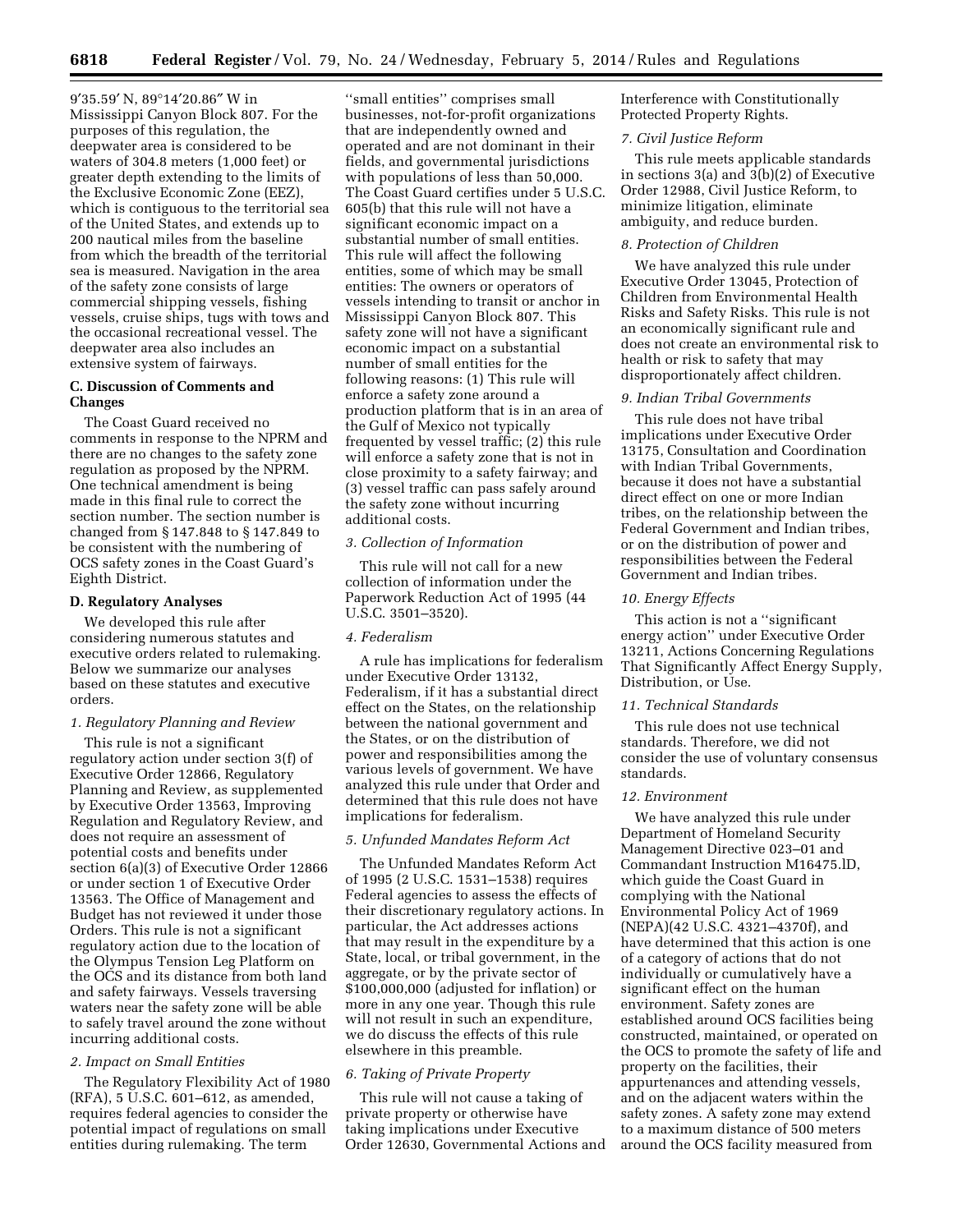9′35.59′ N, 89°14′20.86″ W in Mississippi Canyon Block 807. For the purposes of this regulation, the deepwater area is considered to be waters of 304.8 meters (1,000 feet) or greater depth extending to the limits of the Exclusive Economic Zone (EEZ), which is contiguous to the territorial sea of the United States, and extends up to 200 nautical miles from the baseline from which the breadth of the territorial sea is measured. Navigation in the area of the safety zone consists of large commercial shipping vessels, fishing vessels, cruise ships, tugs with tows and the occasional recreational vessel. The deepwater area also includes an extensive system of fairways.

## **C. Discussion of Comments and Changes**

The Coast Guard received no comments in response to the NPRM and there are no changes to the safety zone regulation as proposed by the NPRM. One technical amendment is being made in this final rule to correct the section number. The section number is changed from § 147.848 to § 147.849 to be consistent with the numbering of OCS safety zones in the Coast Guard's Eighth District.

#### **D. Regulatory Analyses**

We developed this rule after considering numerous statutes and executive orders related to rulemaking. Below we summarize our analyses based on these statutes and executive orders.

## *1. Regulatory Planning and Review*

This rule is not a significant regulatory action under section 3(f) of Executive Order 12866, Regulatory Planning and Review, as supplemented by Executive Order 13563, Improving Regulation and Regulatory Review, and does not require an assessment of potential costs and benefits under section 6(a)(3) of Executive Order 12866 or under section 1 of Executive Order 13563. The Office of Management and Budget has not reviewed it under those Orders. This rule is not a significant regulatory action due to the location of the Olympus Tension Leg Platform on the OCS and its distance from both land and safety fairways. Vessels traversing waters near the safety zone will be able to safely travel around the zone without incurring additional costs.

## *2. Impact on Small Entities*

The Regulatory Flexibility Act of 1980 (RFA), 5 U.S.C. 601–612, as amended, requires federal agencies to consider the potential impact of regulations on small entities during rulemaking. The term

''small entities'' comprises small businesses, not-for-profit organizations that are independently owned and operated and are not dominant in their fields, and governmental jurisdictions with populations of less than 50,000. The Coast Guard certifies under 5 U.S.C. 605(b) that this rule will not have a significant economic impact on a substantial number of small entities. This rule will affect the following entities, some of which may be small entities: The owners or operators of vessels intending to transit or anchor in Mississippi Canyon Block 807. This safety zone will not have a significant economic impact on a substantial number of small entities for the following reasons: (1) This rule will enforce a safety zone around a production platform that is in an area of the Gulf of Mexico not typically frequented by vessel traffic; (2) this rule will enforce a safety zone that is not in close proximity to a safety fairway; and (3) vessel traffic can pass safely around the safety zone without incurring additional costs.

### *3. Collection of Information*

This rule will not call for a new collection of information under the Paperwork Reduction Act of 1995 (44 U.S.C. 3501–3520).

### *4. Federalism*

A rule has implications for federalism under Executive Order 13132, Federalism, if it has a substantial direct effect on the States, on the relationship between the national government and the States, or on the distribution of power and responsibilities among the various levels of government. We have analyzed this rule under that Order and determined that this rule does not have implications for federalism.

#### *5. Unfunded Mandates Reform Act*

The Unfunded Mandates Reform Act of 1995 (2 U.S.C. 1531–1538) requires Federal agencies to assess the effects of their discretionary regulatory actions. In particular, the Act addresses actions that may result in the expenditure by a State, local, or tribal government, in the aggregate, or by the private sector of \$100,000,000 (adjusted for inflation) or more in any one year. Though this rule will not result in such an expenditure, we do discuss the effects of this rule elsewhere in this preamble.

#### *6. Taking of Private Property*

This rule will not cause a taking of private property or otherwise have taking implications under Executive Order 12630, Governmental Actions and Interference with Constitutionally Protected Property Rights.

#### *7. Civil Justice Reform*

This rule meets applicable standards in sections 3(a) and 3(b)(2) of Executive Order 12988, Civil Justice Reform, to minimize litigation, eliminate ambiguity, and reduce burden.

## *8. Protection of Children*

We have analyzed this rule under Executive Order 13045, Protection of Children from Environmental Health Risks and Safety Risks. This rule is not an economically significant rule and does not create an environmental risk to health or risk to safety that may disproportionately affect children.

### *9. Indian Tribal Governments*

This rule does not have tribal implications under Executive Order 13175, Consultation and Coordination with Indian Tribal Governments, because it does not have a substantial direct effect on one or more Indian tribes, on the relationship between the Federal Government and Indian tribes, or on the distribution of power and responsibilities between the Federal Government and Indian tribes.

### *10. Energy Effects*

This action is not a ''significant energy action'' under Executive Order 13211, Actions Concerning Regulations That Significantly Affect Energy Supply, Distribution, or Use.

#### *11. Technical Standards*

This rule does not use technical standards. Therefore, we did not consider the use of voluntary consensus standards.

### *12. Environment*

We have analyzed this rule under Department of Homeland Security Management Directive 023–01 and Commandant Instruction M16475.lD, which guide the Coast Guard in complying with the National Environmental Policy Act of 1969 (NEPA)(42 U.S.C. 4321–4370f), and have determined that this action is one of a category of actions that do not individually or cumulatively have a significant effect on the human environment. Safety zones are established around OCS facilities being constructed, maintained, or operated on the OCS to promote the safety of life and property on the facilities, their appurtenances and attending vessels, and on the adjacent waters within the safety zones. A safety zone may extend to a maximum distance of 500 meters around the OCS facility measured from